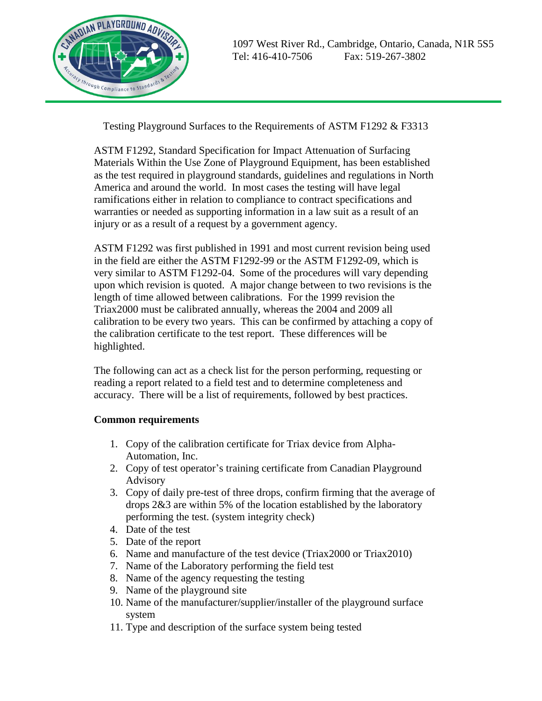

Testing Playground Surfaces to the Requirements of ASTM F1292 & F3313

ASTM F1292, Standard Specification for Impact Attenuation of Surfacing Materials Within the Use Zone of Playground Equipment, has been established as the test required in playground standards, guidelines and regulations in North America and around the world. In most cases the testing will have legal ramifications either in relation to compliance to contract specifications and warranties or needed as supporting information in a law suit as a result of an injury or as a result of a request by a government agency.

ASTM F1292 was first published in 1991 and most current revision being used in the field are either the ASTM F1292-99 or the ASTM F1292-09, which is very similar to ASTM F1292-04. Some of the procedures will vary depending upon which revision is quoted. A major change between to two revisions is the length of time allowed between calibrations. For the 1999 revision the Triax2000 must be calibrated annually, whereas the 2004 and 2009 all calibration to be every two years. This can be confirmed by attaching a copy of the calibration certificate to the test report. These differences will be highlighted.

The following can act as a check list for the person performing, requesting or reading a report related to a field test and to determine completeness and accuracy. There will be a list of requirements, followed by best practices.

## **Common requirements**

- 1. Copy of the calibration certificate for Triax device from Alpha-Automation, Inc.
- 2. Copy of test operator's training certificate from Canadian Playground Advisory
- 3. Copy of daily pre-test of three drops, confirm firming that the average of drops 2&3 are within 5% of the location established by the laboratory performing the test. (system integrity check)
- 4. Date of the test
- 5. Date of the report
- 6. Name and manufacture of the test device (Triax2000 or Triax2010)
- 7. Name of the Laboratory performing the field test
- 8. Name of the agency requesting the testing
- 9. Name of the playground site
- 10. Name of the manufacturer/supplier/installer of the playground surface system
- 11. Type and description of the surface system being tested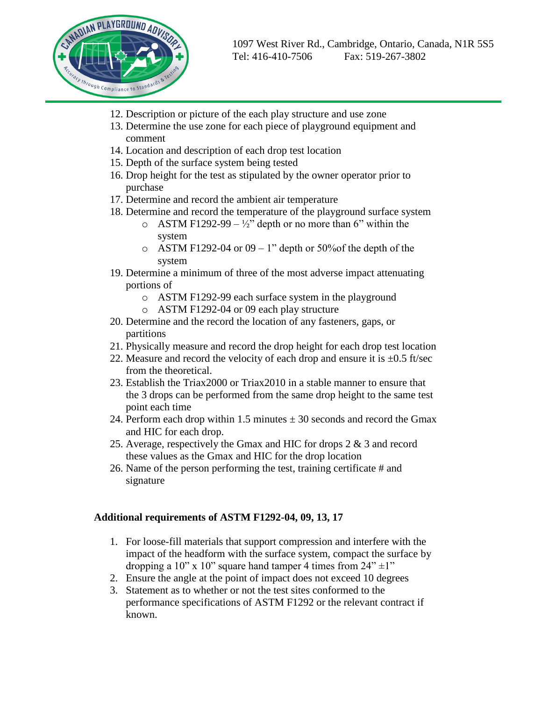

- 12. Description or picture of the each play structure and use zone
- 13. Determine the use zone for each piece of playground equipment and comment
- 14. Location and description of each drop test location
- 15. Depth of the surface system being tested
- 16. Drop height for the test as stipulated by the owner operator prior to purchase
- 17. Determine and record the ambient air temperature
- 18. Determine and record the temperature of the playground surface system
	- o ASTM F1292-99  $\frac{1}{2}$ " depth or no more than 6" within the system
	- $\circ$  ASTM F1292-04 or 09 1" depth or 50% of the depth of the system
- 19. Determine a minimum of three of the most adverse impact attenuating portions of
	- o ASTM F1292-99 each surface system in the playground
	- o ASTM F1292-04 or 09 each play structure
- 20. Determine and the record the location of any fasteners, gaps, or partitions
- 21. Physically measure and record the drop height for each drop test location
- 22. Measure and record the velocity of each drop and ensure it is  $\pm 0.5$  ft/sec from the theoretical.
- 23. Establish the Triax2000 or Triax2010 in a stable manner to ensure that the 3 drops can be performed from the same drop height to the same test point each time
- 24. Perform each drop within 1.5 minutes  $\pm$  30 seconds and record the Gmax and HIC for each drop.
- 25. Average, respectively the Gmax and HIC for drops 2 & 3 and record these values as the Gmax and HIC for the drop location
- 26. Name of the person performing the test, training certificate # and signature

## **Additional requirements of ASTM F1292-04, 09, 13, 17**

- 1. For loose-fill materials that support compression and interfere with the impact of the headform with the surface system, compact the surface by dropping a 10" x 10" square hand tamper 4 times from  $24" \pm 1"$
- 2. Ensure the angle at the point of impact does not exceed 10 degrees
- 3. Statement as to whether or not the test sites conformed to the performance specifications of ASTM F1292 or the relevant contract if known.